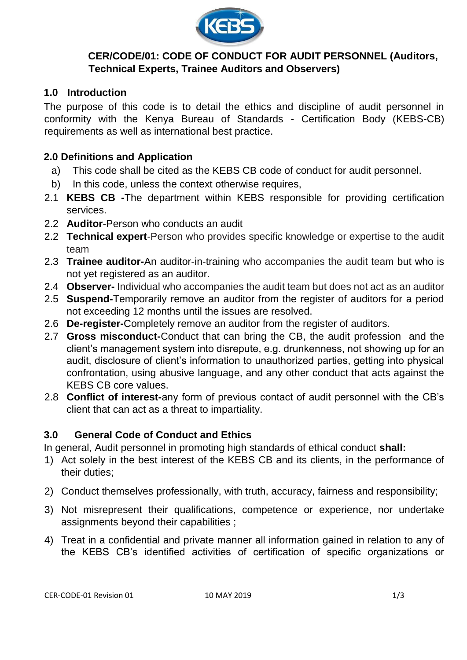

## **CER/CODE/01: CODE OF CONDUCT FOR AUDIT PERSONNEL (Auditors, Technical Experts, Trainee Auditors and Observers)**

## **1.0 Introduction**

The purpose of this code is to detail the ethics and discipline of audit personnel in conformity with the Kenya Bureau of Standards - Certification Body (KEBS-CB) requirements as well as international best practice.

#### **2.0 Definitions and Application**

- a) This code shall be cited as the KEBS CB code of conduct for audit personnel.
- b) In this code, unless the context otherwise requires,
- 2.1 **KEBS CB -**The department within KEBS responsible for providing certification services.
- 2.2 **Auditor**-Person who conducts an audit
- 2.2 **Technical expert**-Person who provides specific knowledge or expertise to the audit team
- 2.3 **Trainee auditor-**An auditor-in-training who accompanies the audit team but who is not yet registered as an auditor.
- 2.4 **Observer-** Individual who accompanies the audit team but does not act as an auditor
- 2.5 **Suspend-**Temporarily remove an auditor from the register of auditors for a period not exceeding 12 months until the issues are resolved.
- 2.6 **De-register-**Completely remove an auditor from the register of auditors.
- 2.7 **Gross misconduct-**Conduct that can bring the CB, the audit profession and the client's management system into disrepute, e.g. drunkenness, not showing up for an audit, disclosure of client's information to unauthorized parties, getting into physical confrontation, using abusive language, and any other conduct that acts against the KEBS CB core values.
- 2.8 **Conflict of interest-**any form of previous contact of audit personnel with the CB's client that can act as a threat to impartiality.

#### **3.0 General Code of Conduct and Ethics**

In general, Audit personnel in promoting high standards of ethical conduct **shall:** 

- 1) Act solely in the best interest of the KEBS CB and its clients, in the performance of their duties;
- 2) Conduct themselves professionally, with truth, accuracy, fairness and responsibility;
- 3) Not misrepresent their qualifications, competence or experience, nor undertake assignments beyond their capabilities ;
- 4) Treat in a confidential and private manner all information gained in relation to any of the KEBS CB's identified activities of certification of specific organizations or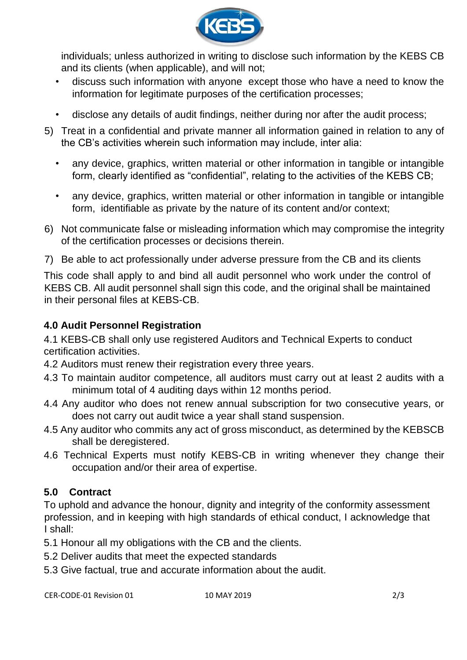

individuals; unless authorized in writing to disclose such information by the KEBS CB and its clients (when applicable), and will not;

- discuss such information with anyone except those who have a need to know the information for legitimate purposes of the certification processes;
- disclose any details of audit findings, neither during nor after the audit process;
- 5) Treat in a confidential and private manner all information gained in relation to any of the CB's activities wherein such information may include, inter alia:
	- any device, graphics, written material or other information in tangible or intangible form, clearly identified as "confidential", relating to the activities of the KEBS CB;
	- any device, graphics, written material or other information in tangible or intangible form, identifiable as private by the nature of its content and/or context;
- 6) Not communicate false or misleading information which may compromise the integrity of the certification processes or decisions therein.
- 7) Be able to act professionally under adverse pressure from the CB and its clients

This code shall apply to and bind all audit personnel who work under the control of KEBS CB. All audit personnel shall sign this code, and the original shall be maintained in their personal files at KEBS-CB.

## **4.0 Audit Personnel Registration**

4.1 KEBS-CB shall only use registered Auditors and Technical Experts to conduct certification activities.

- 4.2 Auditors must renew their registration every three years.
- 4.3 To maintain auditor competence, all auditors must carry out at least 2 audits with a minimum total of 4 auditing days within 12 months period.
- 4.4 Any auditor who does not renew annual subscription for two consecutive years, or does not carry out audit twice a year shall stand suspension.
- 4.5 Any auditor who commits any act of gross misconduct, as determined by the KEBSCB shall be deregistered.
- 4.6 Technical Experts must notify KEBS-CB in writing whenever they change their occupation and/or their area of expertise.

# **5.0 Contract**

To uphold and advance the honour, dignity and integrity of the conformity assessment profession, and in keeping with high standards of ethical conduct, I acknowledge that I shall:

5.1 Honour all my obligations with the CB and the clients.

- 5.2 Deliver audits that meet the expected standards
- 5.3 Give factual, true and accurate information about the audit.